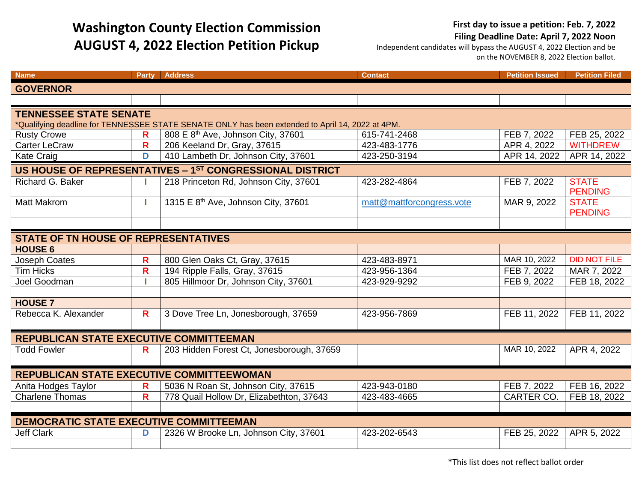## **Washington County Election Commission AUGUST 4, 2022 Election Petition Pickup**

## **First day to issue a petition: Feb. 7, 2022**

**Filing Deadline Date: April 7, 2022 Noon**

Independent candidates will bypass the AUGUST 4, 2022 Election and be on the NOVEMBER 8, 2022 Election ballot.

| <b>Name</b>                                                                                      | <b>Party</b>                 | <b>Address</b>                                                                  | <b>Contact</b>               | <b>Petition Issued</b>           | <b>Petition Filed</b>          |  |  |  |  |  |
|--------------------------------------------------------------------------------------------------|------------------------------|---------------------------------------------------------------------------------|------------------------------|----------------------------------|--------------------------------|--|--|--|--|--|
| <b>GOVERNOR</b>                                                                                  |                              |                                                                                 |                              |                                  |                                |  |  |  |  |  |
|                                                                                                  |                              |                                                                                 |                              |                                  |                                |  |  |  |  |  |
| <b>TENNESSEE STATE SENATE</b>                                                                    |                              |                                                                                 |                              |                                  |                                |  |  |  |  |  |
| *Qualifying deadline for TENNESSEE STATE SENATE ONLY has been extended to April 14, 2022 at 4PM. |                              |                                                                                 |                              |                                  |                                |  |  |  |  |  |
| <b>Rusty Crowe</b>                                                                               | R                            | 808 E 8 <sup>th</sup> Ave, Johnson City, 37601                                  | 615-741-2468                 | FEB 7, 2022                      | FEB 25, 2022                   |  |  |  |  |  |
| Carter LeCraw                                                                                    | $\mathsf{R}$                 | 206 Keeland Dr, Gray, 37615                                                     | 423-483-1776                 | APR 4, 2022                      | <b>WITHDREW</b>                |  |  |  |  |  |
| <b>Kate Craig</b>                                                                                | D                            | 410 Lambeth Dr, Johnson City, 37601                                             | 423-250-3194                 | APR 14, 2022                     | APR 14, 2022                   |  |  |  |  |  |
| US HOUSE OF REPRESENTATIVES - 1ST CONGRESSIONAL DISTRICT                                         |                              |                                                                                 |                              |                                  |                                |  |  |  |  |  |
| Richard G. Baker                                                                                 |                              | 218 Princeton Rd, Johnson City, 37601                                           | 423-282-4864                 | FEB 7, 2022                      | <b>STATE</b><br><b>PENDING</b> |  |  |  |  |  |
| <b>Matt Makrom</b>                                                                               | T                            | 1315 E 8 <sup>th</sup> Ave, Johnson City, 37601                                 | matt@mattforcongress.vote    | MAR 9, 2022                      | <b>STATE</b><br><b>PENDING</b> |  |  |  |  |  |
|                                                                                                  |                              |                                                                                 |                              |                                  |                                |  |  |  |  |  |
| <b>STATE OF TN HOUSE OF REPRESENTATIVES</b>                                                      |                              |                                                                                 |                              |                                  |                                |  |  |  |  |  |
| <b>HOUSE 6</b>                                                                                   |                              |                                                                                 |                              |                                  |                                |  |  |  |  |  |
| Joseph Coates                                                                                    | $\mathbf R$                  | 800 Glen Oaks Ct, Gray, 37615                                                   | 423-483-8971                 | MAR 10, 2022                     | <b>DID NOT FILE</b>            |  |  |  |  |  |
| <b>Tim Hicks</b>                                                                                 | R                            | 194 Ripple Falls, Gray, 37615                                                   | 423-956-1364                 | FEB 7, 2022                      | MAR 7, 2022                    |  |  |  |  |  |
| Joel Goodman                                                                                     |                              | 805 Hillmoor Dr, Johnson City, 37601                                            | 423-929-9292                 | FEB 9, 2022                      | FEB 18, 2022                   |  |  |  |  |  |
|                                                                                                  |                              |                                                                                 |                              |                                  |                                |  |  |  |  |  |
| <b>HOUSE 7</b>                                                                                   |                              |                                                                                 |                              |                                  |                                |  |  |  |  |  |
| Rebecca K. Alexander                                                                             | R                            | 3 Dove Tree Ln, Jonesborough, 37659                                             | 423-956-7869                 | FEB 11, 2022                     | FEB 11, 2022                   |  |  |  |  |  |
| REPUBLICAN STATE EXECUTIVE COMMITTEEMAN                                                          |                              |                                                                                 |                              |                                  |                                |  |  |  |  |  |
| <b>Todd Fowler</b>                                                                               |                              | 203 Hidden Forest Ct, Jonesborough, 37659                                       |                              | MAR 10, 2022                     | APR 4, 2022                    |  |  |  |  |  |
|                                                                                                  | R                            |                                                                                 |                              |                                  |                                |  |  |  |  |  |
| REPUBLICAN STATE EXECUTIVE COMMITTEEWOMAN                                                        |                              |                                                                                 |                              |                                  |                                |  |  |  |  |  |
|                                                                                                  |                              |                                                                                 |                              |                                  |                                |  |  |  |  |  |
| Anita Hodges Taylor<br><b>Charlene Thomas</b>                                                    | R<br>$\overline{\mathsf{R}}$ | 5036 N Roan St, Johnson City, 37615<br>778 Quail Hollow Dr, Elizabethton, 37643 | 423-943-0180<br>423-483-4665 | FEB 7, 2022<br><b>CARTER CO.</b> | FEB 16, 2022<br>FEB 18, 2022   |  |  |  |  |  |
|                                                                                                  |                              |                                                                                 |                              |                                  |                                |  |  |  |  |  |
| DEMOCRATIC STATE EXECUTIVE COMMITTEEMAN                                                          |                              |                                                                                 |                              |                                  |                                |  |  |  |  |  |
| <b>Jeff Clark</b>                                                                                | D                            | 2326 W Brooke Ln, Johnson City, 37601                                           | 423-202-6543                 | FEB 25, 2022                     | APR 5, 2022                    |  |  |  |  |  |
|                                                                                                  |                              |                                                                                 |                              |                                  |                                |  |  |  |  |  |
|                                                                                                  |                              |                                                                                 |                              |                                  |                                |  |  |  |  |  |